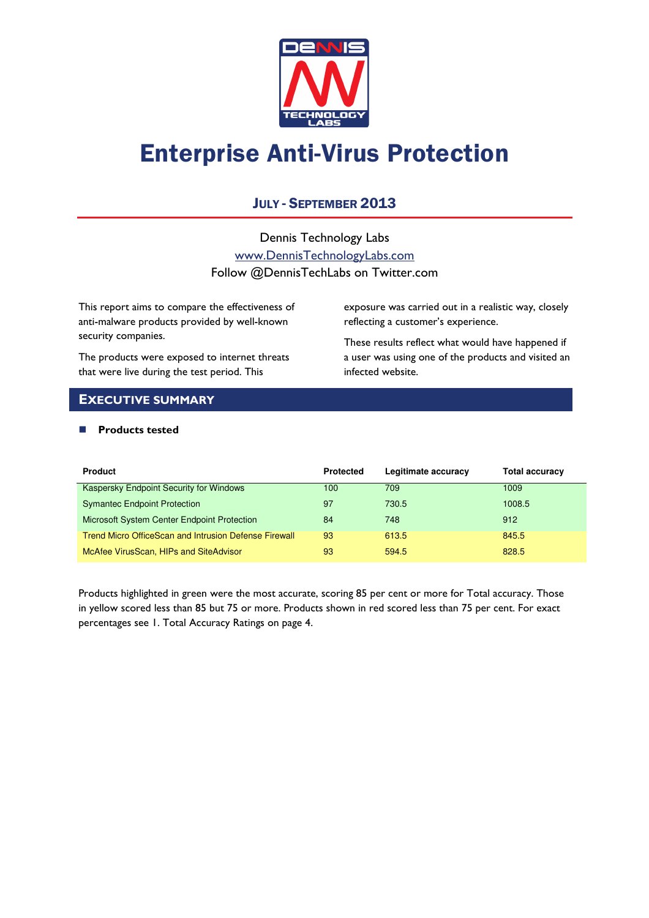

# Enterprise Anti-Virus Protection

### JULY - SEPTEMBER 2013

Dennis Technology Labs www.DennisTechnologyLabs.com Follow @DennisTechLabs on Twitter.com

This report aims to compare the effectiveness of anti-malware products provided by well-known security companies.

The products were exposed to internet threats that were live during the test period. This

exposure was carried out in a realistic way, closely reflecting a customer's experience.

These results reflect what would have happened if a user was using one of the products and visited an infected website.

### EXECUTIVE SUMMARY

**Products tested** 

| <b>Product</b>                                        | <b>Protected</b> | Legitimate accuracy | <b>Total accuracy</b> |
|-------------------------------------------------------|------------------|---------------------|-----------------------|
| Kaspersky Endpoint Security for Windows               | 100              | 709                 | 1009                  |
| <b>Symantec Endpoint Protection</b>                   | 97               | 730.5               | 1008.5                |
| Microsoft System Center Endpoint Protection           | 84               | 748                 | 912                   |
| Trend Micro OfficeScan and Intrusion Defense Firewall | 93               | 613.5               | 845.5                 |
| McAfee VirusScan, HIPs and SiteAdvisor                | 93               | 594.5               | 828.5                 |

Products highlighted in green were the most accurate, scoring 85 per cent or more for Total accuracy. Those in yellow scored less than 85 but 75 or more. Products shown in red scored less than 75 per cent. For exact percentages see 1. Total Accuracy Ratings on page 4.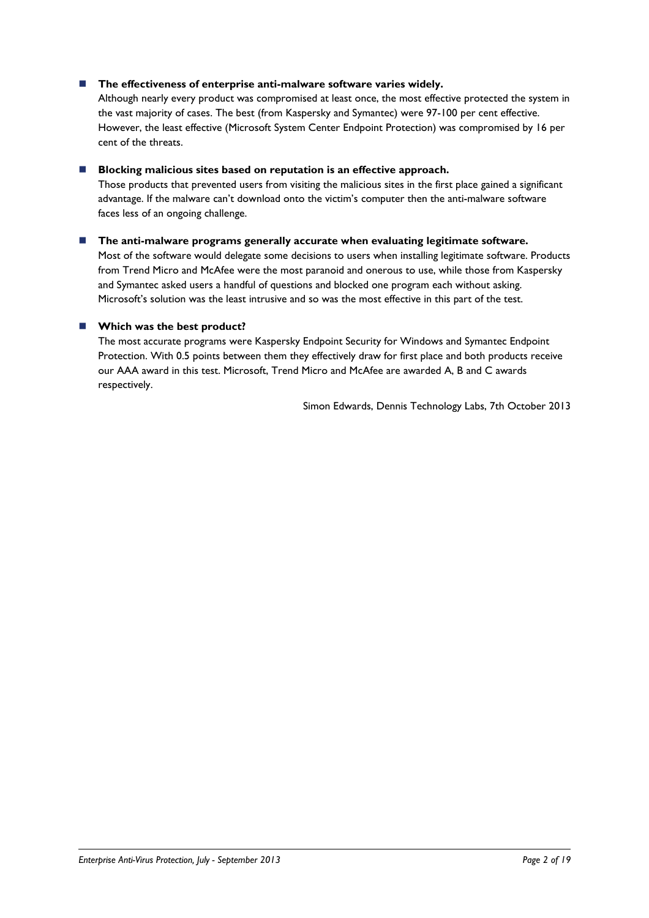### The effectiveness of enterprise anti-malware software varies widely.

Although nearly every product was compromised at least once, the most effective protected the system in the vast majority of cases. The best (from Kaspersky and Symantec) were 97-100 per cent effective. However, the least effective (Microsoft System Center Endpoint Protection) was compromised by 16 per cent of the threats.

### **Blocking malicious sites based on reputation is an effective approach.**

Those products that prevented users from visiting the malicious sites in the first place gained a significant advantage. If the malware can't download onto the victim's computer then the anti-malware software faces less of an ongoing challenge.

#### $\blacksquare$  The anti-malware programs generally accurate when evaluating legitimate software.

Most of the software would delegate some decisions to users when installing legitimate software. Products from Trend Micro and McAfee were the most paranoid and onerous to use, while those from Kaspersky and Symantec asked users a handful of questions and blocked one program each without asking. Microsoft's solution was the least intrusive and so was the most effective in this part of the test.

### **Now Which was the best product?**

The most accurate programs were Kaspersky Endpoint Security for Windows and Symantec Endpoint Protection. With 0.5 points between them they effectively draw for first place and both products receive our AAA award in this test. Microsoft, Trend Micro and McAfee are awarded A, B and C awards respectively.

Simon Edwards, Dennis Technology Labs, 7th October 2013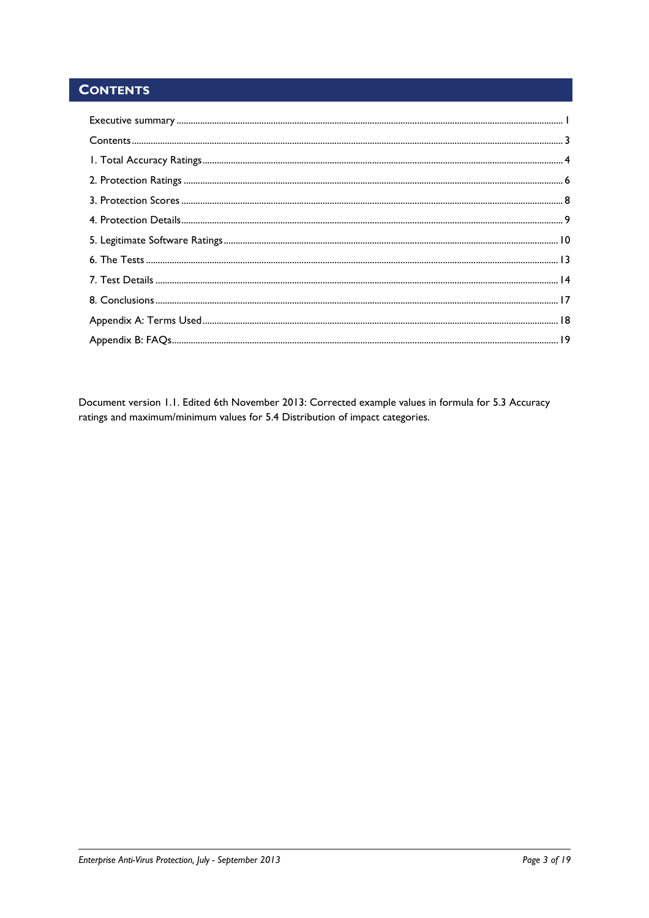### **CONTENTS**

Document version 1.1. Edited 6th November 2013: Corrected example values in formula for 5.3 Accuracy ratings and maximum/minimum values for 5.4 Distribution of impact categories.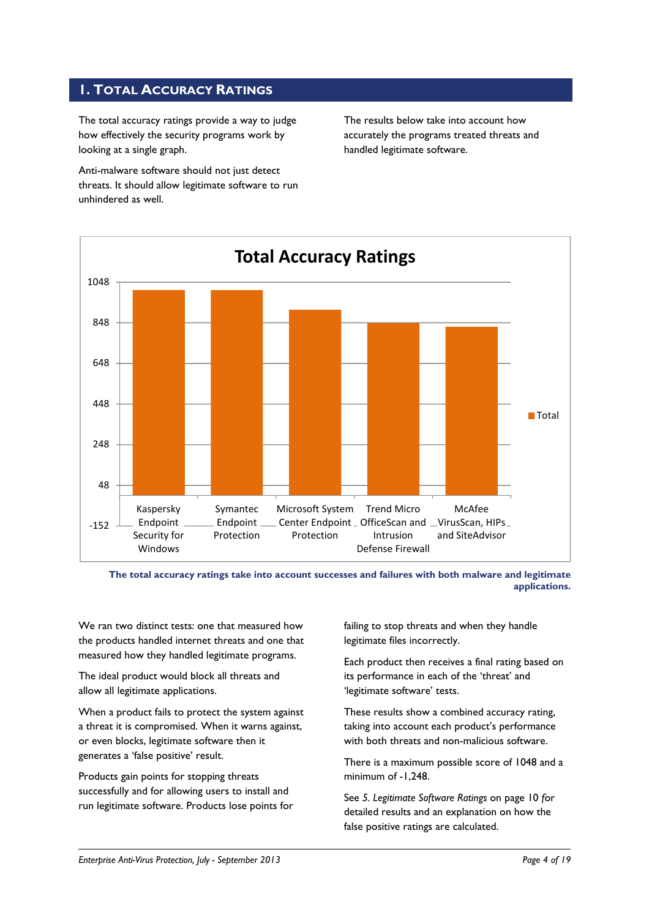### 1. TOTAL ACCURACY RATINGS

The total accuracy ratings provide a way to judge how effectively the security programs work by looking at a single graph.

Anti-malware software should not just detect threats. It should allow legitimate software to run unhindered as well.

The results below take into account how accurately the programs treated threats and handled legitimate software.



The total accuracy ratings take into account successes and failures with both malware and legitimate applications.

We ran two distinct tests: one that measured how the products handled internet threats and one that measured how they handled legitimate programs.

The ideal product would block all threats and allow all legitimate applications.

When a product fails to protect the system against a threat it is compromised. When it warns against, or even blocks, legitimate software then it generates a 'false positive' result.

Products gain points for stopping threats successfully and for allowing users to install and run legitimate software. Products lose points for failing to stop threats and when they handle legitimate files incorrectly.

Each product then receives a final rating based on its performance in each of the 'threat' and 'legitimate software' tests.

These results show a combined accuracy rating, taking into account each product's performance with both threats and non-malicious software.

There is a maximum possible score of 1048 and a minimum of -1,248.

See 5. Legitimate Software Ratings on page 10 for detailed results and an explanation on how the false positive ratings are calculated.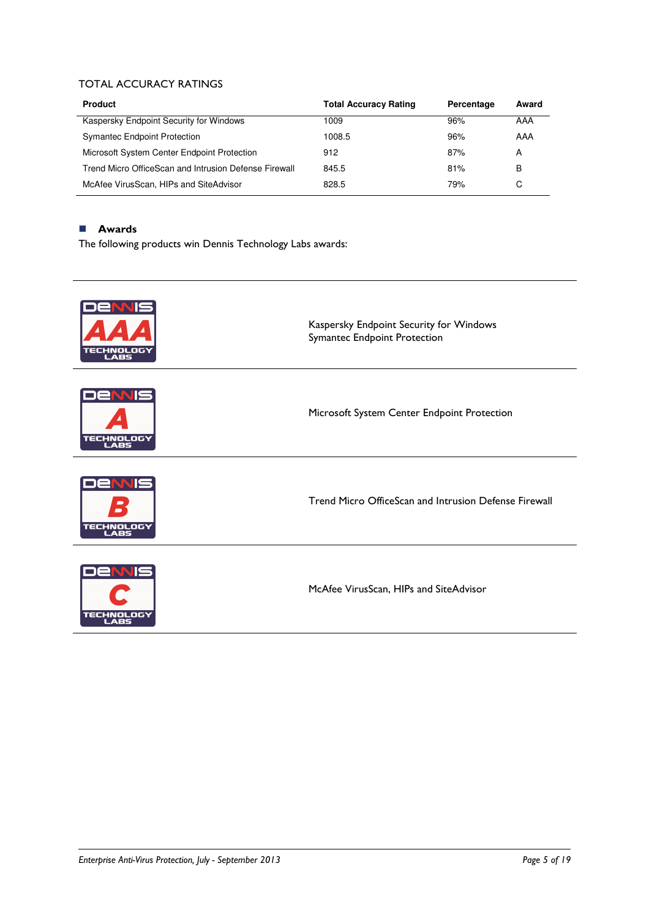### TOTAL ACCURACY RATINGS

| <b>Product</b>                                        | <b>Total Accuracy Rating</b> | Percentage | Award |
|-------------------------------------------------------|------------------------------|------------|-------|
| Kaspersky Endpoint Security for Windows               | 1009                         | 96%        | AAA   |
| <b>Symantec Endpoint Protection</b>                   | 1008.5                       | 96%        | AAA   |
| Microsoft System Center Endpoint Protection           | 912                          | 87%        | A     |
| Trend Micro OfficeScan and Intrusion Defense Firewall | 845.5                        | 81%        | B     |
| McAfee VirusScan, HIPs and SiteAdvisor                | 828.5                        | 79%        | C     |

### **Awards**

The following products win Dennis Technology Labs awards:

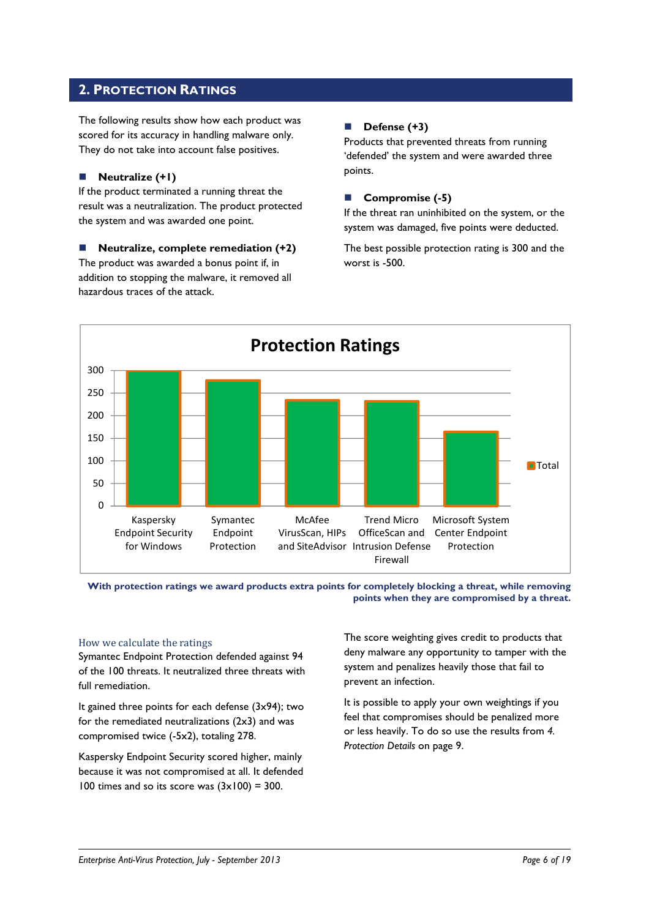### 2. PROTECTION RATINGS

The following results show how each product was scored for its accuracy in handling malware only. They do not take into account false positives.

### Neutralize (+1)

If the product terminated a running threat the result was a neutralization. The product protected the system and was awarded one point.

 Neutralize, complete remediation (+2) The product was awarded a bonus point if, in addition to stopping the malware, it removed all hazardous traces of the attack.

### $\blacksquare$  Defense (+3)

Products that prevented threats from running 'defended' the system and were awarded three points.

### Compromise (-5)

If the threat ran uninhibited on the system, or the system was damaged, five points were deducted.

The best possible protection rating is 300 and the worst is -500.



With protection ratings we award products extra points for completely blocking a threat, while removing points when they are compromised by a threat.

#### How we calculate the ratings

Symantec Endpoint Protection defended against 94 of the 100 threats. It neutralized three threats with full remediation.

It gained three points for each defense (3x94); two for the remediated neutralizations (2x3) and was compromised twice (-5x2), totaling 278.

Kaspersky Endpoint Security scored higher, mainly because it was not compromised at all. It defended 100 times and so its score was  $(3 \times 100) = 300$ .

The score weighting gives credit to products that deny malware any opportunity to tamper with the system and penalizes heavily those that fail to prevent an infection.

It is possible to apply your own weightings if you feel that compromises should be penalized more or less heavily. To do so use the results from 4. Protection Details on page 9.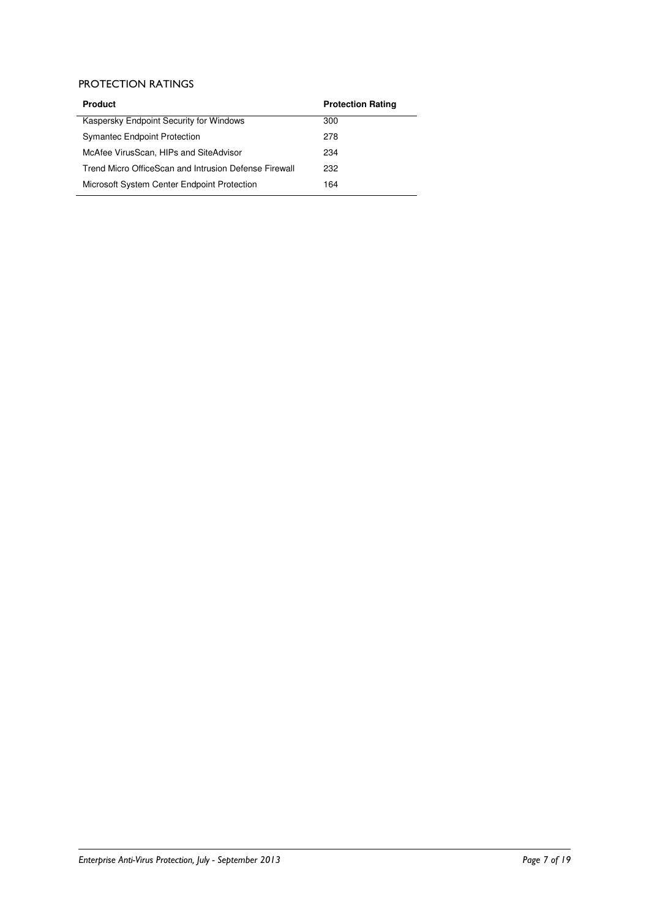### PROTECTION RATINGS

| <b>Product</b>                                        | <b>Protection Rating</b> |
|-------------------------------------------------------|--------------------------|
| Kaspersky Endpoint Security for Windows               | 300                      |
| <b>Symantec Endpoint Protection</b>                   | 278                      |
| McAfee VirusScan, HIPs and SiteAdvisor                | 234                      |
| Trend Micro OfficeScan and Intrusion Defense Firewall | 232                      |
| Microsoft System Center Endpoint Protection           | 164                      |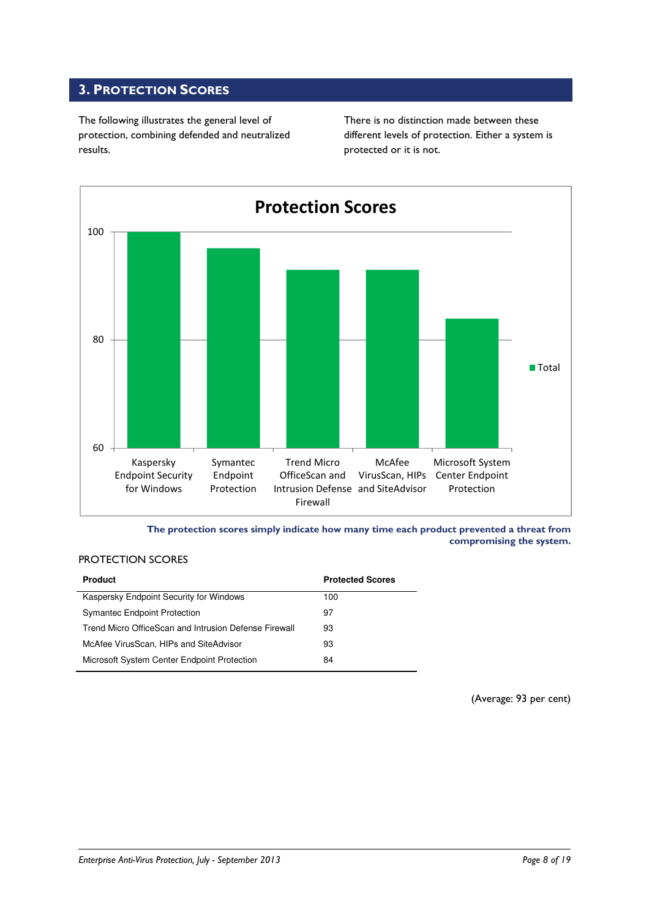### 3. PROTECTION SCORES

The following illustrates the general level of protection, combining defended and neutralized results.

There is no distinction made between these different levels of protection. Either a system is protected or it is not.



The protection scores simply indicate how many time each product prevented a threat from compromising the system.

### PROTECTION SCORES

| <b>Product</b>                                        | <b>Protected Scores</b> |
|-------------------------------------------------------|-------------------------|
| Kaspersky Endpoint Security for Windows               | 100                     |
| <b>Symantec Endpoint Protection</b>                   | 97                      |
| Trend Micro OfficeScan and Intrusion Defense Firewall | 93                      |
| McAfee VirusScan, HIPs and SiteAdvisor                | 93                      |
| Microsoft System Center Endpoint Protection           | 84                      |

(Average: 93 per cent)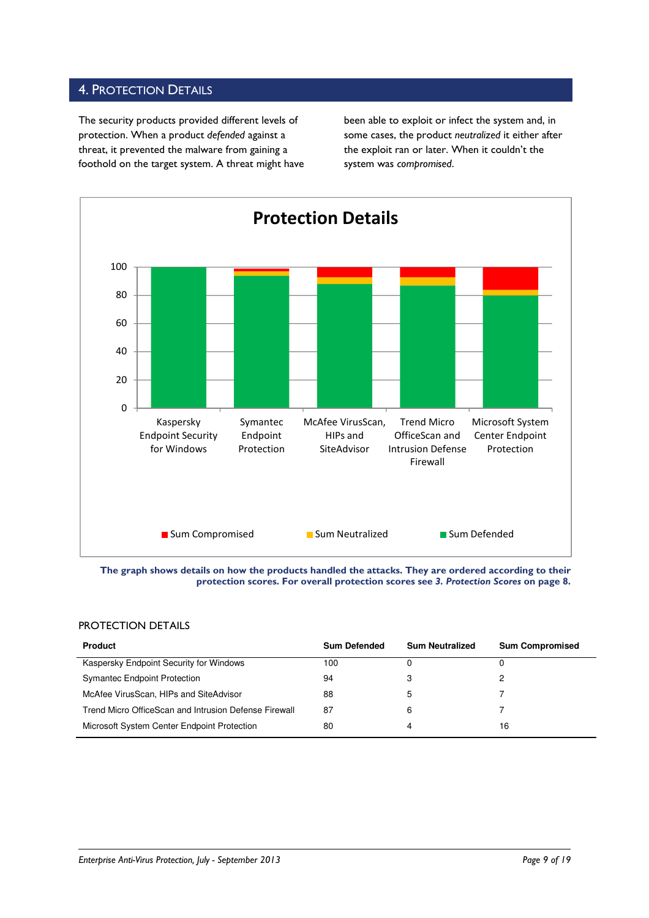### 4. PROTECTION DETAILS

The security products provided different levels of protection. When a product defended against a threat, it prevented the malware from gaining a foothold on the target system. A threat might have been able to exploit or infect the system and, in some cases, the product neutralized it either after the exploit ran or later. When it couldn't the system was compromised.



The graph shows details on how the products handled the attacks. They are ordered according to their protection scores. For overall protection scores see 3. Protection Scores on page 8.

### PROTECTION DETAILS

| <b>Product</b>                                        | <b>Sum Defended</b> | <b>Sum Neutralized</b> | <b>Sum Compromised</b> |
|-------------------------------------------------------|---------------------|------------------------|------------------------|
| Kaspersky Endpoint Security for Windows               | 100                 |                        |                        |
| <b>Symantec Endpoint Protection</b>                   | 94                  | З                      |                        |
| McAfee VirusScan, HIPs and SiteAdvisor                | 88                  | 5                      |                        |
| Trend Micro OfficeScan and Intrusion Defense Firewall | 87                  | 6                      |                        |
| Microsoft System Center Endpoint Protection           | 80                  | 4                      | 16                     |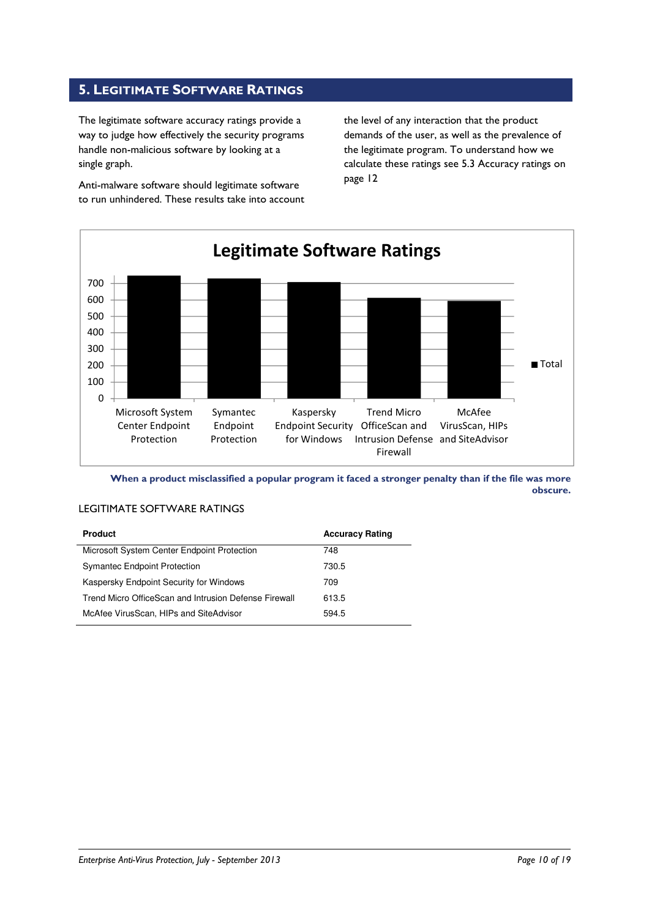### 5. LEGITIMATE SOFTWARE RATINGS

The legitimate software accuracy ratings provide a way to judge how effectively the security programs handle non-malicious software by looking at a single graph.

Anti-malware software should legitimate software to run unhindered. These results take into account the level of any interaction that the product demands of the user, as well as the prevalence of the legitimate program. To understand how we calculate these ratings see 5.3 Accuracy ratings on page 12



When a product misclassified a popular program it faced a stronger penalty than if the file was more obscure.

### LEGITIMATE SOFTWARE RATINGS

| <b>Product</b>                                        | <b>Accuracy Rating</b> |
|-------------------------------------------------------|------------------------|
| Microsoft System Center Endpoint Protection           | 748                    |
| <b>Symantec Endpoint Protection</b>                   | 730.5                  |
| Kaspersky Endpoint Security for Windows               | 709                    |
| Trend Micro OfficeScan and Intrusion Defense Firewall | 613.5                  |
| McAfee VirusScan, HIPs and SiteAdvisor                | 594.5                  |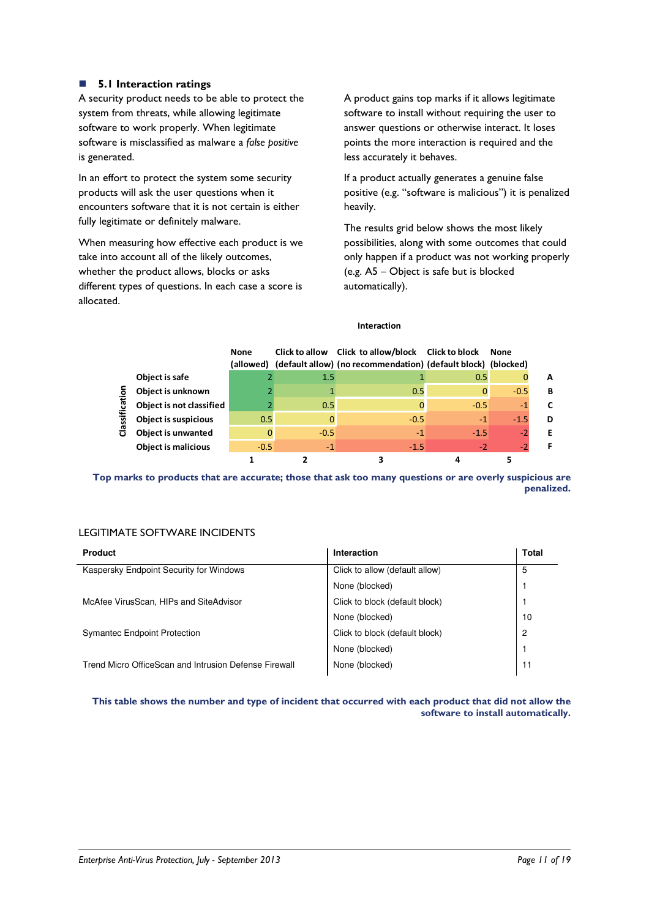### **5.1 Interaction ratings**

A security product needs to be able to protect the system from threats, while allowing legitimate software to work properly. When legitimate software is misclassified as malware a false positive is generated.

In an effort to protect the system some security products will ask the user questions when it encounters software that it is not certain is either fully legitimate or definitely malware.

When measuring how effective each product is we take into account all of the likely outcomes, whether the product allows, blocks or asks different types of questions. In each case a score is allocated.

A product gains top marks if it allows legitimate software to install without requiring the user to answer questions or otherwise interact. It loses points the more interaction is required and the less accurately it behaves.

If a product actually generates a genuine false positive (e.g. "software is malicious") it is penalized heavily.

The results grid below shows the most likely possibilities, along with some outcomes that could only happen if a product was not working properly (e.g. A5 – Object is safe but is blocked automatically).

#### Interaction

|              |                             | <b>None</b> |         | Click to allow Click to allow/block Click to block None       |        |        |   |
|--------------|-----------------------------|-------------|---------|---------------------------------------------------------------|--------|--------|---|
|              |                             | (allowed)   |         | (default allow) (no recommendation) (default block) (blocked) |        |        |   |
|              | Object is safe              |             | $1.5\,$ |                                                               | 0.5    |        | A |
| $\circ$      | Object is unknown           |             |         | 0.5                                                           | 0      | $-0.5$ | в |
| <u>Ficat</u> | Object is not classified    |             | 0.5     |                                                               | $-0.5$ | $-1$   |   |
| ii           | <b>Object is suspicious</b> | 0.5         |         | $-0.5$                                                        | $-1$   | $-1.5$ |   |
| පී           | <b>Object is unwanted</b>   |             | $-0.5$  | $-1$                                                          | $-1.5$ | $-2$   |   |
|              | <b>Object is malicious</b>  | $-0.5$      | $-1$    | $-1.5$                                                        | $-2$   | $-2$   |   |
|              |                             |             |         |                                                               |        |        |   |

Top marks to products that are accurate; those that ask too many questions or are overly suspicious are penalized.

### LEGITIMATE SOFTWARE INCIDENTS

| Product                                               | Interaction                    | <b>Total</b> |
|-------------------------------------------------------|--------------------------------|--------------|
| Kaspersky Endpoint Security for Windows               | Click to allow (default allow) | 5            |
|                                                       | None (blocked)                 |              |
| McAfee VirusScan, HIPs and SiteAdvisor                | Click to block (default block) |              |
|                                                       | None (blocked)                 | 10           |
| Symantec Endpoint Protection                          | Click to block (default block) | 2            |
|                                                       | None (blocked)                 |              |
| Trend Micro OfficeScan and Intrusion Defense Firewall | None (blocked)                 | 11           |
|                                                       |                                |              |

This table shows the number and type of incident that occurred with each product that did not allow the software to install automatically.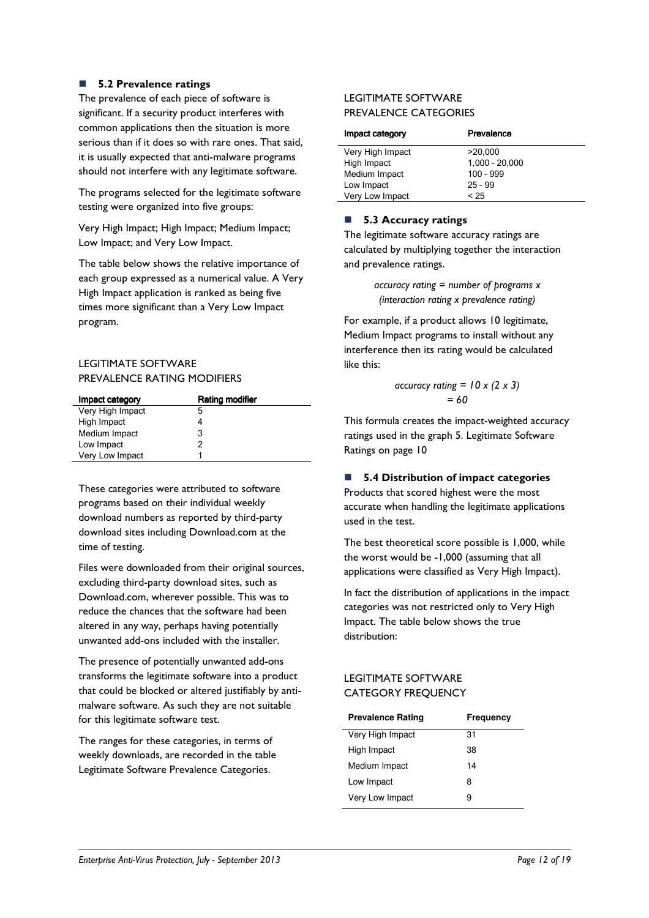### ■ 5.2 Prevalence ratings

The prevalence of each piece of software is significant. If a security product interferes with common applications then the situation is more serious than if it does so with rare ones. That said, it is usually expected that anti-malware programs should not interfere with any legitimate software.

The programs selected for the legitimate software testing were organized into five groups:

Very High Impact; High Impact; Medium Impact; Low Impact; and Very Low Impact.

The table below shows the relative importance of each group expressed as a numerical value. A Very High Impact application is ranked as being five times more significant than a Very Low Impact program.

### LEGITIMATE SOFTWARE PREVALENCE RATING MODIFIERS

| Impact category  | Rating modifier |
|------------------|-----------------|
| Very High Impact | 5               |
| High Impact      | 4               |
| Medium Impact    | 3               |
| Low Impact       | 2               |
| Very Low Impact  |                 |

These categories were attributed to software programs based on their individual weekly download numbers as reported by third-party download sites including Download.com at the time of testing.

Files were downloaded from their original sources, excluding third-party download sites, such as Download.com, wherever possible. This was to reduce the chances that the software had been altered in any way, perhaps having potentially unwanted add-ons included with the installer.

The presence of potentially unwanted add-ons transforms the legitimate software into a product that could be blocked or altered justifiably by antimalware software. As such they are not suitable for this legitimate software test.

The ranges for these categories, in terms of weekly downloads, are recorded in the table Legitimate Software Prevalence Categories.

### LEGITIMATE SOFTWARE PREVALENCE CATEGORIES

| Impact category  | Prevalence       |
|------------------|------------------|
| Very High Impact | >20.000          |
| High Impact      | $1,000 - 20,000$ |
| Medium Impact    | $100 - 999$      |
| Low Impact       | $25 - 99$        |
| Very Low Impact  | < 25             |

### ■ 5.3 Accuracy ratings

The legitimate software accuracy ratings are calculated by multiplying together the interaction and prevalence ratings.

> $accuracy$  rating = number of programs  $x$ (interaction rating x prevalence rating)

For example, if a product allows 10 legitimate, Medium Impact programs to install without any interference then its rating would be calculated like this:

$$
\begin{aligned} \text{accuracy rating} &= 10 \times (2 \times 3) \\ &= 60 \end{aligned}
$$

This formula creates the impact-weighted accuracy ratings used in the graph 5. Legitimate Software Ratings on page 10

### 5.4 Distribution of impact categories

Products that scored highest were the most accurate when handling the legitimate applications used in the test.

The best theoretical score possible is 1,000, while the worst would be -1,000 (assuming that all applications were classified as Very High Impact).

In fact the distribution of applications in the impact categories was not restricted only to Very High Impact. The table below shows the true distribution:

### LEGITIMATE SOFTWARE CATEGORY FREQUENCY

| <b>Prevalence Rating</b> | Frequency |
|--------------------------|-----------|
| Very High Impact         | 31        |
| High Impact              | 38        |
| Medium Impact            | 14        |
| Low Impact               | 8         |
| Very Low Impact          | 9         |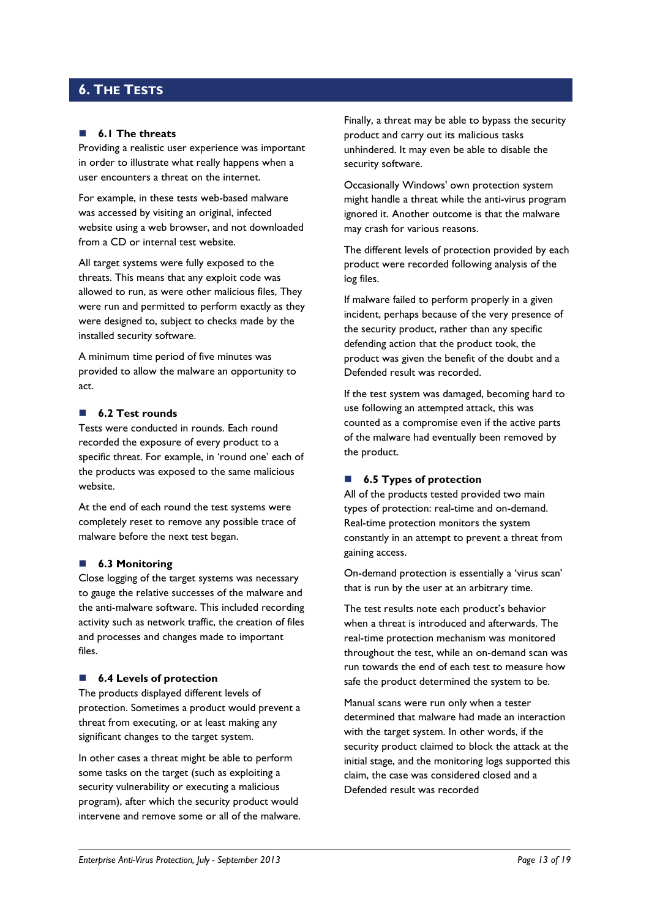### 6. THE TESTS

#### **6.1 The threats**

Providing a realistic user experience was important in order to illustrate what really happens when a user encounters a threat on the internet.

For example, in these tests web-based malware was accessed by visiting an original, infected website using a web browser, and not downloaded from a CD or internal test website.

All target systems were fully exposed to the threats. This means that any exploit code was allowed to run, as were other malicious files, They were run and permitted to perform exactly as they were designed to, subject to checks made by the installed security software.

A minimum time period of five minutes was provided to allow the malware an opportunity to act.

### ■ 6.2 Test rounds

Tests were conducted in rounds. Each round recorded the exposure of every product to a specific threat. For example, in 'round one' each of the products was exposed to the same malicious website.

At the end of each round the test systems were completely reset to remove any possible trace of malware before the next test began.

#### **6.3 Monitoring**

Close logging of the target systems was necessary to gauge the relative successes of the malware and the anti-malware software. This included recording activity such as network traffic, the creation of files and processes and changes made to important files.

#### ■ 6.4 Levels of protection

The products displayed different levels of protection. Sometimes a product would prevent a threat from executing, or at least making any significant changes to the target system.

In other cases a threat might be able to perform some tasks on the target (such as exploiting a security vulnerability or executing a malicious program), after which the security product would intervene and remove some or all of the malware. Finally, a threat may be able to bypass the security product and carry out its malicious tasks unhindered. It may even be able to disable the security software.

Occasionally Windows' own protection system might handle a threat while the anti-virus program ignored it. Another outcome is that the malware may crash for various reasons.

The different levels of protection provided by each product were recorded following analysis of the log files.

If malware failed to perform properly in a given incident, perhaps because of the very presence of the security product, rather than any specific defending action that the product took, the product was given the benefit of the doubt and a Defended result was recorded.

If the test system was damaged, becoming hard to use following an attempted attack, this was counted as a compromise even if the active parts of the malware had eventually been removed by the product.

#### ■ 6.5 Types of protection

All of the products tested provided two main types of protection: real-time and on-demand. Real-time protection monitors the system constantly in an attempt to prevent a threat from gaining access.

On-demand protection is essentially a 'virus scan' that is run by the user at an arbitrary time.

The test results note each product's behavior when a threat is introduced and afterwards. The real-time protection mechanism was monitored throughout the test, while an on-demand scan was run towards the end of each test to measure how safe the product determined the system to be.

Manual scans were run only when a tester determined that malware had made an interaction with the target system. In other words, if the security product claimed to block the attack at the initial stage, and the monitoring logs supported this claim, the case was considered closed and a Defended result was recorded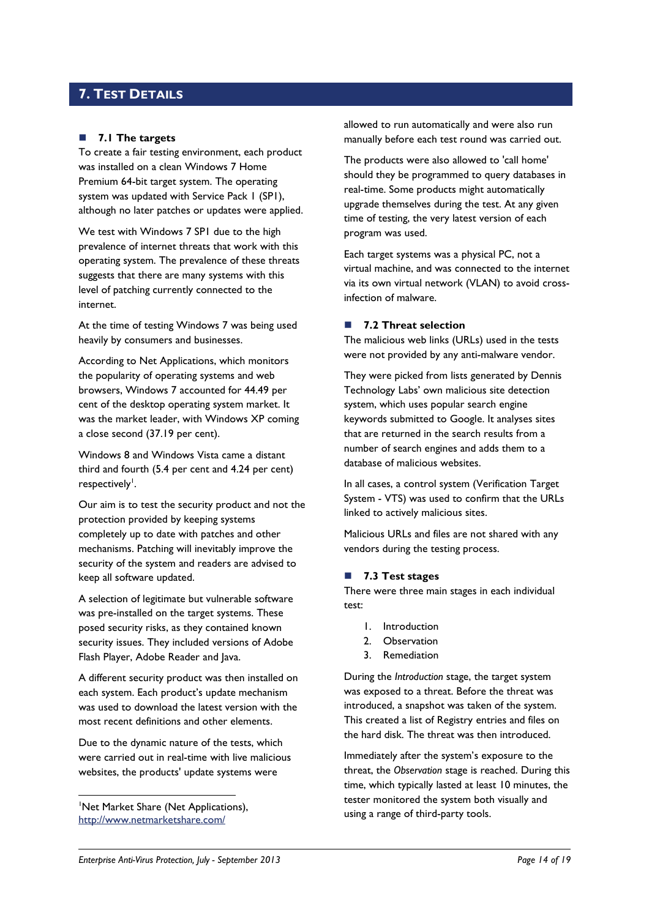### 7. TEST DETAILS

### **7.1 The targets**

To create a fair testing environment, each product was installed on a clean Windows 7 Home Premium 64-bit target system. The operating system was updated with Service Pack 1 (SP1), although no later patches or updates were applied.

We test with Windows 7 SP1 due to the high prevalence of internet threats that work with this operating system. The prevalence of these threats suggests that there are many systems with this level of patching currently connected to the internet.

At the time of testing Windows 7 was being used heavily by consumers and businesses.

According to Net Applications, which monitors the popularity of operating systems and web browsers, Windows 7 accounted for 44.49 per cent of the desktop operating system market. It was the market leader, with Windows XP coming a close second (37.19 per cent).

Windows 8 and Windows Vista came a distant third and fourth (5.4 per cent and 4.24 per cent) respectively<sup>1</sup>.

Our aim is to test the security product and not the protection provided by keeping systems completely up to date with patches and other mechanisms. Patching will inevitably improve the security of the system and readers are advised to keep all software updated.

A selection of legitimate but vulnerable software was pre-installed on the target systems. These posed security risks, as they contained known security issues. They included versions of Adobe Flash Player, Adobe Reader and Java.

A different security product was then installed on each system. Each product's update mechanism was used to download the latest version with the most recent definitions and other elements.

Due to the dynamic nature of the tests, which were carried out in real-time with live malicious websites, the products' update systems were

<sup>1</sup>Net Market Share (Net Applications), http://www.netmarketshare.com/

-

allowed to run automatically and were also run manually before each test round was carried out.

The products were also allowed to 'call home' should they be programmed to query databases in real-time. Some products might automatically upgrade themselves during the test. At any given time of testing, the very latest version of each program was used.

Each target systems was a physical PC, not a virtual machine, and was connected to the internet via its own virtual network (VLAN) to avoid crossinfection of malware.

### ■ 7.2 Threat selection

The malicious web links (URLs) used in the tests were not provided by any anti-malware vendor.

They were picked from lists generated by Dennis Technology Labs' own malicious site detection system, which uses popular search engine keywords submitted to Google. It analyses sites that are returned in the search results from a number of search engines and adds them to a database of malicious websites.

In all cases, a control system (Verification Target System - VTS) was used to confirm that the URLs linked to actively malicious sites.

Malicious URLs and files are not shared with any vendors during the testing process.

### **7.3 Test stages**

There were three main stages in each individual test:

- 1. Introduction
- 2. Observation
- 3. Remediation

During the Introduction stage, the target system was exposed to a threat. Before the threat was introduced, a snapshot was taken of the system. This created a list of Registry entries and files on the hard disk. The threat was then introduced.

Immediately after the system's exposure to the threat, the Observation stage is reached. During this time, which typically lasted at least 10 minutes, the tester monitored the system both visually and using a range of third-party tools.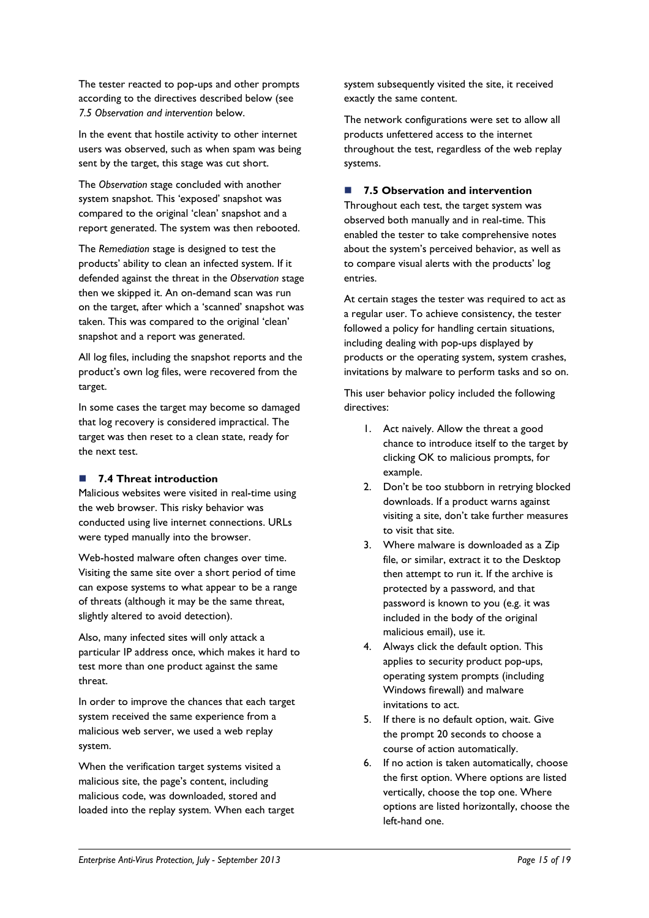The tester reacted to pop-ups and other prompts according to the directives described below (see 7.5 Observation and intervention below.

In the event that hostile activity to other internet users was observed, such as when spam was being sent by the target, this stage was cut short.

The Observation stage concluded with another system snapshot. This 'exposed' snapshot was compared to the original 'clean' snapshot and a report generated. The system was then rebooted.

The Remediation stage is designed to test the products' ability to clean an infected system. If it defended against the threat in the Observation stage then we skipped it. An on-demand scan was run on the target, after which a 'scanned' snapshot was taken. This was compared to the original 'clean' snapshot and a report was generated.

All log files, including the snapshot reports and the product's own log files, were recovered from the target.

In some cases the target may become so damaged that log recovery is considered impractical. The target was then reset to a clean state, ready for the next test.

### 7.4 Threat introduction

Malicious websites were visited in real-time using the web browser. This risky behavior was conducted using live internet connections. URLs were typed manually into the browser.

Web-hosted malware often changes over time. Visiting the same site over a short period of time can expose systems to what appear to be a range of threats (although it may be the same threat, slightly altered to avoid detection).

Also, many infected sites will only attack a particular IP address once, which makes it hard to test more than one product against the same threat.

In order to improve the chances that each target system received the same experience from a malicious web server, we used a web replay system.

When the verification target systems visited a malicious site, the page's content, including malicious code, was downloaded, stored and loaded into the replay system. When each target system subsequently visited the site, it received exactly the same content.

The network configurations were set to allow all products unfettered access to the internet throughout the test, regardless of the web replay systems.

### ■ 7.5 Observation and intervention

Throughout each test, the target system was observed both manually and in real-time. This enabled the tester to take comprehensive notes about the system's perceived behavior, as well as to compare visual alerts with the products' log entries.

At certain stages the tester was required to act as a regular user. To achieve consistency, the tester followed a policy for handling certain situations, including dealing with pop-ups displayed by products or the operating system, system crashes, invitations by malware to perform tasks and so on.

This user behavior policy included the following directives:

- 1. Act naively. Allow the threat a good chance to introduce itself to the target by clicking OK to malicious prompts, for example.
- 2. Don't be too stubborn in retrying blocked downloads. If a product warns against visiting a site, don't take further measures to visit that site.
- 3. Where malware is downloaded as a Zip file, or similar, extract it to the Desktop then attempt to run it. If the archive is protected by a password, and that password is known to you (e.g. it was included in the body of the original malicious email), use it.
- 4. Always click the default option. This applies to security product pop-ups, operating system prompts (including Windows firewall) and malware invitations to act.
- 5. If there is no default option, wait. Give the prompt 20 seconds to choose a course of action automatically.
- 6. If no action is taken automatically, choose the first option. Where options are listed vertically, choose the top one. Where options are listed horizontally, choose the left-hand one.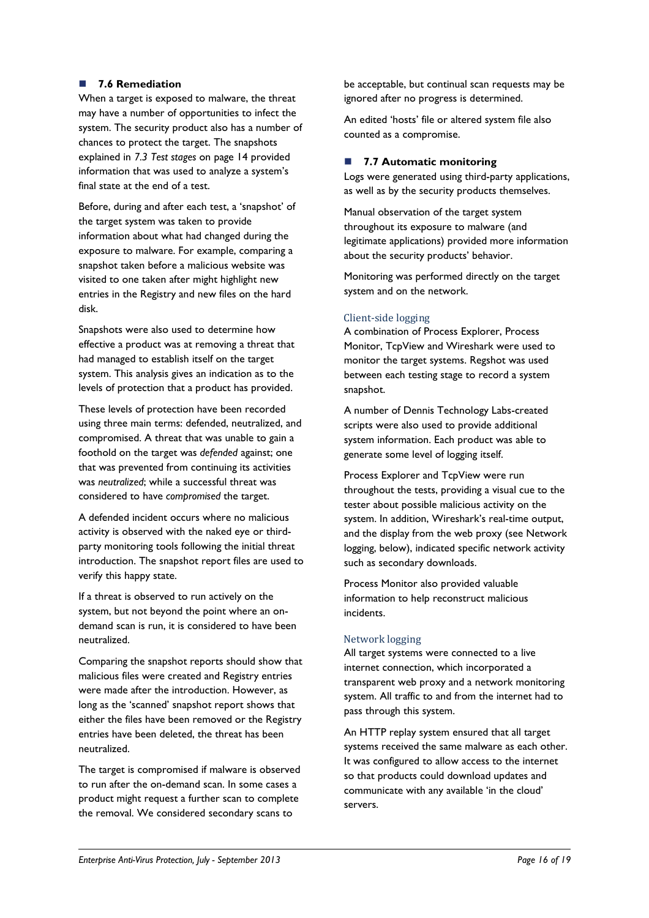### **7.6 Remediation**

When a target is exposed to malware, the threat may have a number of opportunities to infect the system. The security product also has a number of chances to protect the target. The snapshots explained in 7.3 Test stages on page 14 provided information that was used to analyze a system's final state at the end of a test.

Before, during and after each test, a 'snapshot' of the target system was taken to provide information about what had changed during the exposure to malware. For example, comparing a snapshot taken before a malicious website was visited to one taken after might highlight new entries in the Registry and new files on the hard disk.

Snapshots were also used to determine how effective a product was at removing a threat that had managed to establish itself on the target system. This analysis gives an indication as to the levels of protection that a product has provided.

These levels of protection have been recorded using three main terms: defended, neutralized, and compromised. A threat that was unable to gain a foothold on the target was defended against; one that was prevented from continuing its activities was neutralized; while a successful threat was considered to have compromised the target.

A defended incident occurs where no malicious activity is observed with the naked eye or thirdparty monitoring tools following the initial threat introduction. The snapshot report files are used to verify this happy state.

If a threat is observed to run actively on the system, but not beyond the point where an ondemand scan is run, it is considered to have been neutralized.

Comparing the snapshot reports should show that malicious files were created and Registry entries were made after the introduction. However, as long as the 'scanned' snapshot report shows that either the files have been removed or the Registry entries have been deleted, the threat has been neutralized.

The target is compromised if malware is observed to run after the on-demand scan. In some cases a product might request a further scan to complete the removal. We considered secondary scans to

be acceptable, but continual scan requests may be ignored after no progress is determined.

An edited 'hosts' file or altered system file also counted as a compromise.

### ■ 7.7 Automatic monitoring

Logs were generated using third-party applications, as well as by the security products themselves.

Manual observation of the target system throughout its exposure to malware (and legitimate applications) provided more information about the security products' behavior.

Monitoring was performed directly on the target system and on the network.

### Client-side logging

A combination of Process Explorer, Process Monitor, TcpView and Wireshark were used to monitor the target systems. Regshot was used between each testing stage to record a system snapshot.

A number of Dennis Technology Labs-created scripts were also used to provide additional system information. Each product was able to generate some level of logging itself.

Process Explorer and TcpView were run throughout the tests, providing a visual cue to the tester about possible malicious activity on the system. In addition, Wireshark's real-time output, and the display from the web proxy (see Network logging, below), indicated specific network activity such as secondary downloads.

Process Monitor also provided valuable information to help reconstruct malicious incidents.

### Network logging

All target systems were connected to a live internet connection, which incorporated a transparent web proxy and a network monitoring system. All traffic to and from the internet had to pass through this system.

An HTTP replay system ensured that all target systems received the same malware as each other. It was configured to allow access to the internet so that products could download updates and communicate with any available 'in the cloud' servers.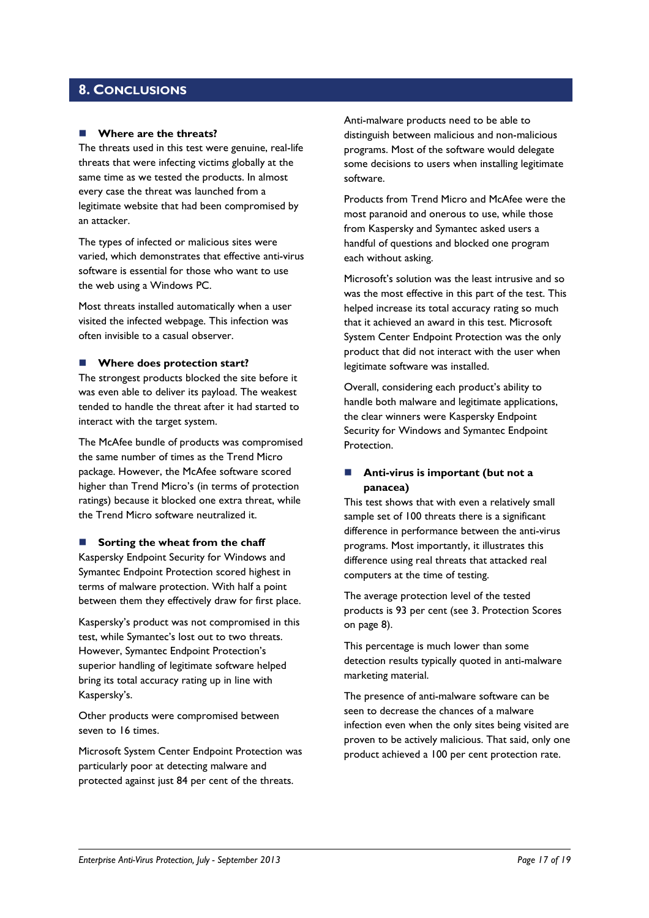### 8. CONCLUSIONS

### Where are the threats?

The threats used in this test were genuine, real-life threats that were infecting victims globally at the same time as we tested the products. In almost every case the threat was launched from a legitimate website that had been compromised by an attacker.

The types of infected or malicious sites were varied, which demonstrates that effective anti-virus software is essential for those who want to use the web using a Windows PC.

Most threats installed automatically when a user visited the infected webpage. This infection was often invisible to a casual observer.

#### ■ Where does protection start?

The strongest products blocked the site before it was even able to deliver its payload. The weakest tended to handle the threat after it had started to interact with the target system.

The McAfee bundle of products was compromised the same number of times as the Trend Micro package. However, the McAfee software scored higher than Trend Micro's (in terms of protection ratings) because it blocked one extra threat, while the Trend Micro software neutralized it.

#### Sorting the wheat from the chaff

Kaspersky Endpoint Security for Windows and Symantec Endpoint Protection scored highest in terms of malware protection. With half a point between them they effectively draw for first place.

Kaspersky's product was not compromised in this test, while Symantec's lost out to two threats. However, Symantec Endpoint Protection's superior handling of legitimate software helped bring its total accuracy rating up in line with Kaspersky's.

Other products were compromised between seven to 16 times.

Microsoft System Center Endpoint Protection was particularly poor at detecting malware and protected against just 84 per cent of the threats.

Anti-malware products need to be able to distinguish between malicious and non-malicious programs. Most of the software would delegate some decisions to users when installing legitimate software.

Products from Trend Micro and McAfee were the most paranoid and onerous to use, while those from Kaspersky and Symantec asked users a handful of questions and blocked one program each without asking.

Microsoft's solution was the least intrusive and so was the most effective in this part of the test. This helped increase its total accuracy rating so much that it achieved an award in this test. Microsoft System Center Endpoint Protection was the only product that did not interact with the user when legitimate software was installed.

Overall, considering each product's ability to handle both malware and legitimate applications, the clear winners were Kaspersky Endpoint Security for Windows and Symantec Endpoint Protection.

### ■ Anti-virus is important (but not a panacea)

This test shows that with even a relatively small sample set of 100 threats there is a significant difference in performance between the anti-virus programs. Most importantly, it illustrates this difference using real threats that attacked real computers at the time of testing.

The average protection level of the tested products is 93 per cent (see 3. Protection Scores on page 8).

This percentage is much lower than some detection results typically quoted in anti-malware marketing material.

The presence of anti-malware software can be seen to decrease the chances of a malware infection even when the only sites being visited are proven to be actively malicious. That said, only one product achieved a 100 per cent protection rate.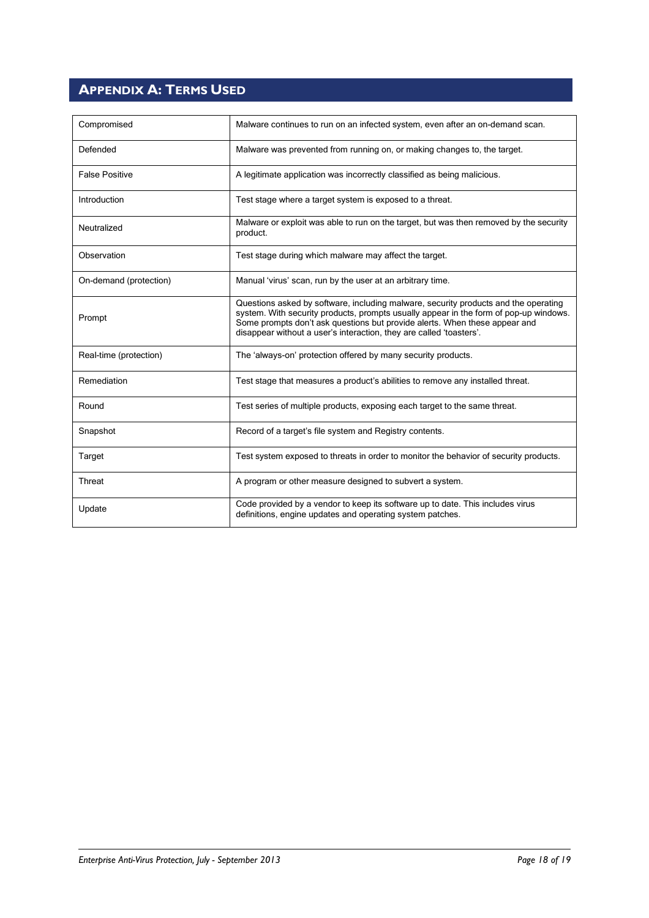## APPENDIX A: TERMS USED

| Compromised            | Malware continues to run on an infected system, even after an on-demand scan.                                                                                                                                                                                                                                                     |
|------------------------|-----------------------------------------------------------------------------------------------------------------------------------------------------------------------------------------------------------------------------------------------------------------------------------------------------------------------------------|
| Defended               | Malware was prevented from running on, or making changes to, the target.                                                                                                                                                                                                                                                          |
| <b>False Positive</b>  | A legitimate application was incorrectly classified as being malicious.                                                                                                                                                                                                                                                           |
| Introduction           | Test stage where a target system is exposed to a threat.                                                                                                                                                                                                                                                                          |
| Neutralized            | Malware or exploit was able to run on the target, but was then removed by the security<br>product.                                                                                                                                                                                                                                |
| Observation            | Test stage during which malware may affect the target.                                                                                                                                                                                                                                                                            |
| On-demand (protection) | Manual 'virus' scan, run by the user at an arbitrary time.                                                                                                                                                                                                                                                                        |
| Prompt                 | Questions asked by software, including malware, security products and the operating<br>system. With security products, prompts usually appear in the form of pop-up windows.<br>Some prompts don't ask questions but provide alerts. When these appear and<br>disappear without a user's interaction, they are called 'toasters'. |
| Real-time (protection) | The 'always-on' protection offered by many security products.                                                                                                                                                                                                                                                                     |
| Remediation            | Test stage that measures a product's abilities to remove any installed threat.                                                                                                                                                                                                                                                    |
| Round                  | Test series of multiple products, exposing each target to the same threat.                                                                                                                                                                                                                                                        |
| Snapshot               | Record of a target's file system and Registry contents.                                                                                                                                                                                                                                                                           |
| Target                 | Test system exposed to threats in order to monitor the behavior of security products.                                                                                                                                                                                                                                             |
| Threat                 | A program or other measure designed to subvert a system.                                                                                                                                                                                                                                                                          |
| Update                 | Code provided by a vendor to keep its software up to date. This includes virus<br>definitions, engine updates and operating system patches.                                                                                                                                                                                       |